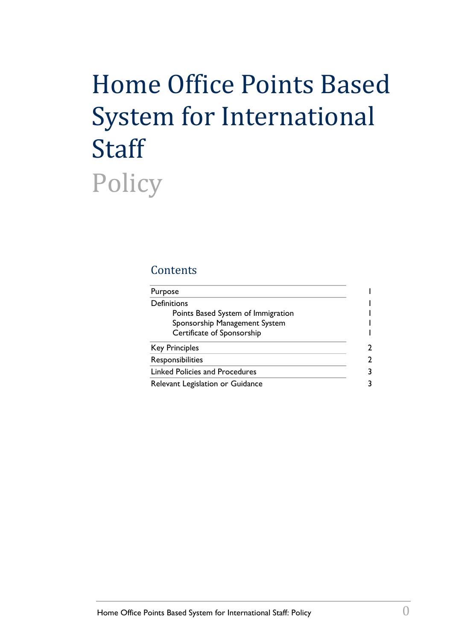# Home Office Points Based System for International **Staff** Policy

### **Contents**

| Purpose                            |  |
|------------------------------------|--|
| Definitions                        |  |
| Points Based System of Immigration |  |
| Sponsorship Management System      |  |
| Certificate of Sponsorship         |  |
| <b>Key Principles</b>              |  |
| Responsibilities                   |  |
| Linked Policies and Procedures     |  |
| Relevant Legislation or Guidance   |  |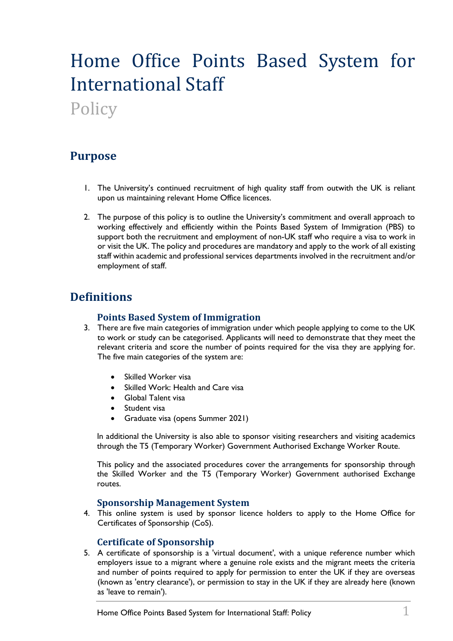## Home Office Points Based System for International Staff

Policy

## <span id="page-1-0"></span>**Purpose**

- 1. The University's continued recruitment of high quality staff from outwith the UK is reliant upon us maintaining relevant Home Office licences.
- 2. The purpose of this policy is to outline the University's commitment and overall approach to working effectively and efficiently within the Points Based System of Immigration (PBS) to support both the recruitment and employment of non-UK staff who require a visa to work in or visit the UK. The policy and procedures are mandatory and apply to the work of all existing staff within academic and professional services departments involved in the recruitment and/or employment of staff.

## <span id="page-1-2"></span><span id="page-1-1"></span>**Definitions**

#### **Points Based System of Immigration**

- 3. There are five main categories of immigration under which people applying to come to the UK to work or study can be categorised. Applicants will need to demonstrate that they meet the relevant criteria and score the number of points required for the visa they are applying for. The five main categories of the system are:
	- Skilled Worker visa
	- Skilled Work: Health and Care visa
	- Global Talent visa
	- Student visa
	- Graduate visa (opens Summer 2021)

In additional the University is also able to sponsor visiting researchers and visiting academics through the T5 (Temporary Worker) Government Authorised Exchange Worker Route.

This policy and the associated procedures cover the arrangements for sponsorship through the Skilled Worker and the T5 (Temporary Worker) Government authorised Exchange routes.

#### **Sponsorship Management System**

<span id="page-1-3"></span>4. This online system is used by sponsor licence holders to apply to the Home Office for Certificates of Sponsorship (CoS).

#### **Certificate of Sponsorship**

<span id="page-1-4"></span>5. A certificate of sponsorship is a 'virtual document', with a unique reference number which employers issue to a migrant where a genuine role exists and the migrant meets the criteria and number of points required to apply for permission to enter the UK if they are overseas (known as 'entry clearance'), or permission to stay in the UK if they are already here (known as 'leave to remain').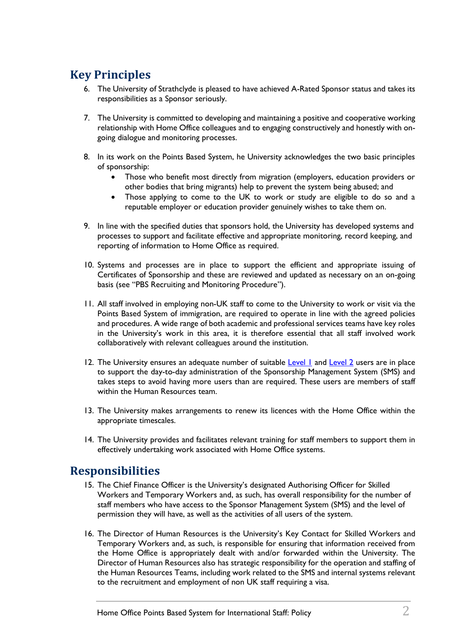## <span id="page-2-0"></span>**Key Principles**

- 6. The University of Strathclyde is pleased to have achieved A-Rated Sponsor status and takes its responsibilities as a Sponsor seriously.
- 7. The University is committed to developing and maintaining a positive and cooperative working relationship with Home Office colleagues and to engaging constructively and honestly with ongoing dialogue and monitoring processes.
- 8. In its work on the Points Based System, he University acknowledges the two basic principles of sponsorship:
	- Those who benefit most directly from migration (employers, education providers or other bodies that bring migrants) help to prevent the system being abused; and
	- Those applying to come to the UK to work or study are eligible to do so and a reputable employer or education provider genuinely wishes to take them on.
- 9. In line with the specified duties that sponsors hold, the University has developed systems and processes to support and facilitate effective and appropriate monitoring, record keeping, and reporting of information to Home Office as required.
- 10. Systems and processes are in place to support the efficient and appropriate issuing of Certificates of Sponsorship and these are reviewed and updated as necessary on an on-going basis (see "PBS Recruiting and Monitoring Procedure").
- 11. All staff involved in employing non-UK staff to come to the University to work or visit via the Points Based System of immigration, are required to operate in line with the agreed policies and procedures. A wide range of both academic and professional services teams have key roles in the University's work in this area, it is therefore essential that all staff involved work collaboratively with relevant colleagues around the institution.
- 12. The University ensures an adequate number of suitable [Level 1](https://assets.publishing.service.gov.uk/government/uploads/system/uploads/attachment_data/file/946016/2020-12-17_Sponsor-guidance_Part-1-Apply-for-licence_12-20_v1.0.pdf#page=26) and [Level 2](https://assets.publishing.service.gov.uk/government/uploads/system/uploads/attachment_data/file/946016/2020-12-17_Sponsor-guidance_Part-1-Apply-for-licence_12-20_v1.0.pdf#page=28) users are in place to support the day-to-day administration of the Sponsorship Management System (SMS) and takes steps to avoid having more users than are required. These users are members of staff within the Human Resources team.
- 13. The University makes arrangements to renew its licences with the Home Office within the appropriate timescales.
- 14. The University provides and facilitates relevant training for staff members to support them in effectively undertaking work associated with Home Office systems.

## <span id="page-2-1"></span>**Responsibilities**

- 15. The Chief Finance Officer is the University's designated Authorising Officer for Skilled Workers and Temporary Workers and, as such, has overall responsibility for the number of staff members who have access to the Sponsor Management System (SMS) and the level of permission they will have, as well as the activities of all users of the system.
- 16. The Director of Human Resources is the University's Key Contact for Skilled Workers and Temporary Workers and, as such, is responsible for ensuring that information received from the Home Office is appropriately dealt with and/or forwarded within the University. The Director of Human Resources also has strategic responsibility for the operation and staffing of the Human Resources Teams, including work related to the SMS and internal systems relevant to the recruitment and employment of non UK staff requiring a visa.